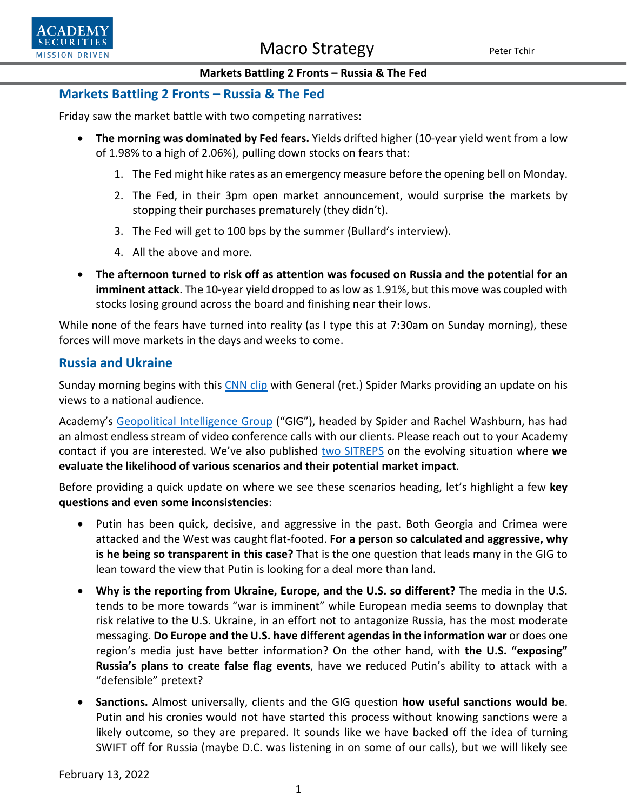

### **Markets Battling 2 Fronts – Russia & The Fed**

### **Markets Battling 2 Fronts – Russia & The Fed**

Friday saw the market battle with two competing narratives:

- **The morning was dominated by Fed fears.** Yields drifted higher (10-year yield went from a low of 1.98% to a high of 2.06%), pulling down stocks on fears that:
	- 1. The Fed might hike rates as an emergency measure before the opening bell on Monday.
	- 2. The Fed, in their 3pm open market announcement, would surprise the markets by stopping their purchases prematurely (they didn't).
	- 3. The Fed will get to 100 bps by the summer (Bullard's interview).
	- 4. All the above and more.
- **The afternoon turned to risk off as attention was focused on Russia and the potential for an imminent attack**. The 10-year yield dropped to as low as 1.91%, but this move was coupled with stocks losing ground across the board and finishing near their lows.

While none of the fears have turned into reality (as I type this at 7:30am on Sunday morning), these forces will move markets in the days and weeks to come.

### **Russia and Ukraine**

Sunday morning begins with this [CNN clip](https://video.snapstream.net/Play/6WkENYdNCyJBDPRnZIC682?accessToken=wy4s13ajtmp3) with General (ret.) Spider Marks providing an update on his views to a national audience.

Academy's [Geopolitical Intelligence Group](https://www.academysecurities.com/geopolitical/geopolitical-intelligence-group/) ("GIG"), headed by Spider and Rachel Washburn, has had an almost endless stream of video conference calls with our clients. Please reach out to your Academy contact if you are interested. We've also published [two SITREPS](https://www.academysecurities.com/geopolitical/insights/) on the evolving situation where we **evaluate the likelihood of various scenarios and their potential market impact**.

Before providing a quick update on where we see these scenarios heading, let's highlight a few **key questions and even some inconsistencies**:

- Putin has been quick, decisive, and aggressive in the past. Both Georgia and Crimea were attacked and the West was caught flat-footed. **For a person so calculated and aggressive, why is he being so transparent in this case?** That is the one question that leads many in the GIG to lean toward the view that Putin is looking for a deal more than land.
- **Why is the reporting from Ukraine, Europe, and the U.S. so different?** The media in the U.S. tends to be more towards "war is imminent" while European media seems to downplay that risk relative to the U.S. Ukraine, in an effort not to antagonize Russia, has the most moderate messaging. **Do Europe and the U.S. have different agendas in the information war** or does one region's media just have better information? On the other hand, with **the U.S. "exposing" Russia's plans to create false flag events**, have we reduced Putin's ability to attack with a "defensible" pretext?
- **Sanctions.** Almost universally, clients and the GIG question **how useful sanctions would be**. Putin and his cronies would not have started this process without knowing sanctions were a likely outcome, so they are prepared. It sounds like we have backed off the idea of turning SWIFT off for Russia (maybe D.C. was listening in on some of our calls), but we will likely see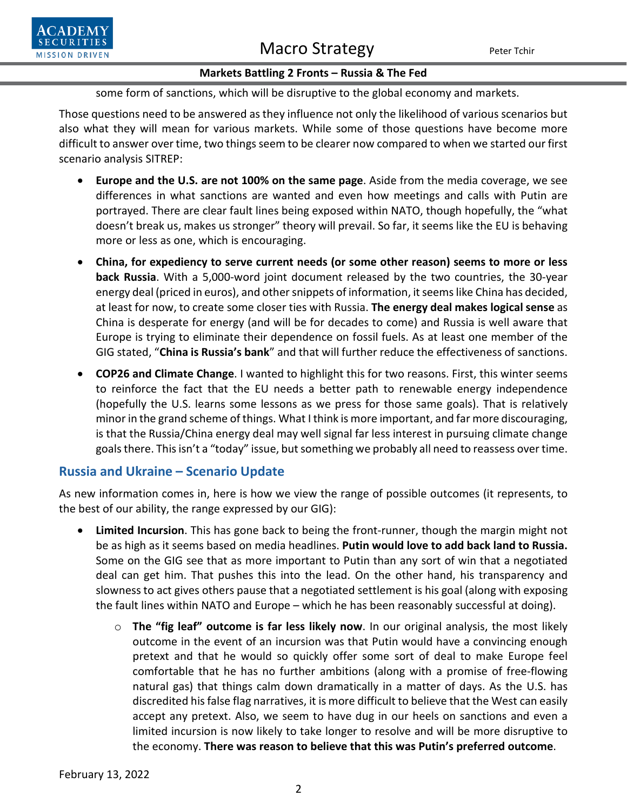## Macro Strategy Peter Tchir



### **Markets Battling 2 Fronts – Russia & The Fed**

some form of sanctions, which will be disruptive to the global economy and markets.

Those questions need to be answered as they influence not only the likelihood of various scenarios but also what they will mean for various markets. While some of those questions have become more difficult to answer over time, two things seem to be clearer now compared to when we started our first scenario analysis SITREP:

- **Europe and the U.S. are not 100% on the same page**. Aside from the media coverage, we see differences in what sanctions are wanted and even how meetings and calls with Putin are portrayed. There are clear fault lines being exposed within NATO, though hopefully, the "what doesn't break us, makes us stronger" theory will prevail. So far, it seems like the EU is behaving more or less as one, which is encouraging.
- **China, for expediency to serve current needs (or some other reason) seems to more or less back Russia**. With a 5,000-word joint document released by the two countries, the 30-year energy deal (priced in euros), and other snippets of information, it seems like China has decided, at least for now, to create some closer ties with Russia. **The energy deal makes logical sense** as China is desperate for energy (and will be for decades to come) and Russia is well aware that Europe is trying to eliminate their dependence on fossil fuels. As at least one member of the GIG stated, "**China is Russia's bank**" and that will further reduce the effectiveness of sanctions.
- **COP26 and Climate Change**. I wanted to highlight this for two reasons. First, this winter seems to reinforce the fact that the EU needs a better path to renewable energy independence (hopefully the U.S. learns some lessons as we press for those same goals). That is relatively minor in the grand scheme of things. What I think is more important, and far more discouraging, is that the Russia/China energy deal may well signal far less interest in pursuing climate change goals there. This isn't a "today" issue, but something we probably all need to reassess over time.

## **Russia and Ukraine – Scenario Update**

As new information comes in, here is how we view the range of possible outcomes (it represents, to the best of our ability, the range expressed by our GIG):

- **Limited Incursion**. This has gone back to being the front-runner, though the margin might not be as high as it seems based on media headlines. **Putin would love to add back land to Russia.** Some on the GIG see that as more important to Putin than any sort of win that a negotiated deal can get him. That pushes this into the lead. On the other hand, his transparency and slowness to act gives others pause that a negotiated settlement is his goal (along with exposing the fault lines within NATO and Europe – which he has been reasonably successful at doing).
	- o **The "fig leaf" outcome is far less likely now**. In our original analysis, the most likely outcome in the event of an incursion was that Putin would have a convincing enough pretext and that he would so quickly offer some sort of deal to make Europe feel comfortable that he has no further ambitions (along with a promise of free-flowing natural gas) that things calm down dramatically in a matter of days. As the U.S. has discredited his false flag narratives, it is more difficult to believe that the West can easily accept any pretext. Also, we seem to have dug in our heels on sanctions and even a limited incursion is now likely to take longer to resolve and will be more disruptive to the economy. **There was reason to believe that this was Putin's preferred outcome**.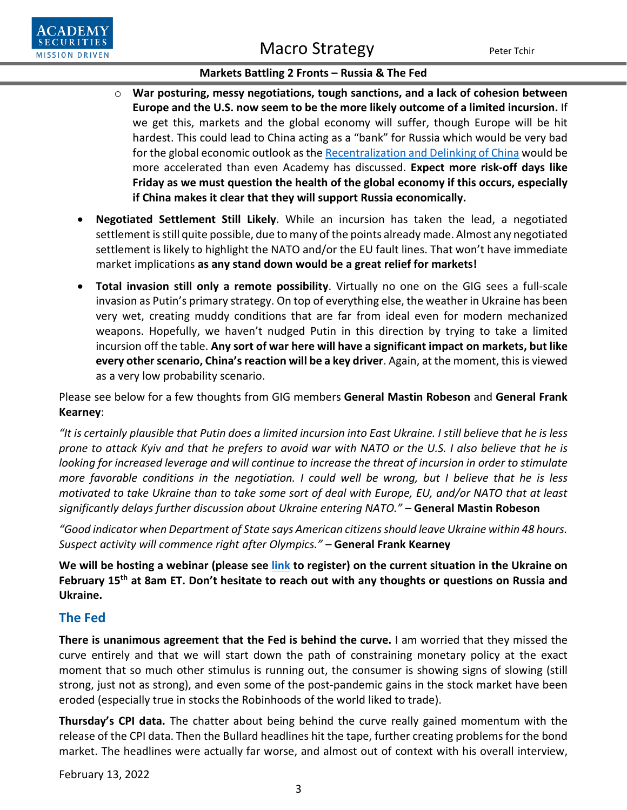

### **Markets Battling 2 Fronts – Russia & The Fed**

- o **War posturing, messy negotiations, tough sanctions, and a lack of cohesion between Europe and the U.S. now seem to be the more likely outcome of a limited incursion.** If we get this, markets and the global economy will suffer, though Europe will be hit hardest. This could lead to China acting as a "bank" for Russia which would be very bad for the global economic outlook as th[e Recentralization and Delinking of China](https://www.academysecurities.com/wordpress/wp-content/uploads/2021/08/The-Recentralization-of-China.pdf) would be more accelerated than even Academy has discussed. **Expect more risk-off days like Friday as we must question the health of the global economy if this occurs, especially if China makes it clear that they will support Russia economically.**
- **Negotiated Settlement Still Likely**. While an incursion has taken the lead, a negotiated settlement is still quite possible, due to many of the points already made. Almost any negotiated settlement is likely to highlight the NATO and/or the EU fault lines. That won't have immediate market implications **as any stand down would be a great relief for markets!**
- **Total invasion still only a remote possibility**. Virtually no one on the GIG sees a full-scale invasion as Putin's primary strategy. On top of everything else, the weather in Ukraine has been very wet, creating muddy conditions that are far from ideal even for modern mechanized weapons. Hopefully, we haven't nudged Putin in this direction by trying to take a limited incursion off the table. **Any sort of war here will have a significant impact on markets, but like every other scenario, China's reaction will be a key driver**. Again, at the moment, this is viewed as a very low probability scenario.

Please see below for a few thoughts from GIG members **General Mastin Robeson** and **General Frank Kearney**:

*"It is certainly plausible that Putin does a limited incursion into East Ukraine. I still believe that he is less prone to attack Kyiv and that he prefers to avoid war with NATO or the U.S. I also believe that he is looking for increased leverage and will continue to increase the threat of incursion in order to stimulate more favorable conditions in the negotiation. I could well be wrong, but I believe that he is less motivated to take Ukraine than to take some sort of deal with Europe, EU, and/or NATO that at least significantly delays further discussion about Ukraine entering NATO." –* **General Mastin Robeson**

*"Good indicator when Department of State says American citizensshould leave Ukraine within 48 hours. Suspect activity will commence right after Olympics." –* **General Frank Kearney**

**We will be hosting a webinar (please see [link](https://us06web.zoom.us/webinar/register/WN_UECN_4UwSfSK45D3_UCMIw) to register) on the current situation in the Ukraine on February 15th at 8am ET. Don't hesitate to reach out with any thoughts or questions on Russia and Ukraine.**

## **The Fed**

**There is unanimous agreement that the Fed is behind the curve.** I am worried that they missed the curve entirely and that we will start down the path of constraining monetary policy at the exact moment that so much other stimulus is running out, the consumer is showing signs of slowing (still strong, just not as strong), and even some of the post-pandemic gains in the stock market have been eroded (especially true in stocks the Robinhoods of the world liked to trade).

**Thursday's CPI data.** The chatter about being behind the curve really gained momentum with the release of the CPI data. Then the Bullard headlines hit the tape, further creating problems for the bond market. The headlines were actually far worse, and almost out of context with his overall interview,

February 13, 2022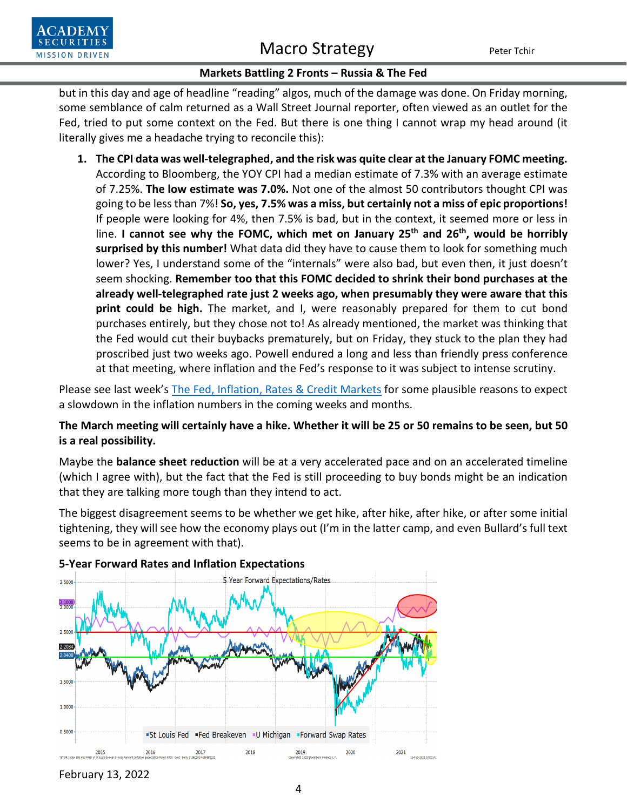

# Macro Strategy Peter Tchir

### **Markets Battling 2 Fronts – Russia & The Fed**

but in this day and age of headline "reading" algos, much of the damage was done. On Friday morning, some semblance of calm returned as a Wall Street Journal reporter, often viewed as an outlet for the Fed, tried to put some context on the Fed. But there is one thing I cannot wrap my head around (it literally gives me a headache trying to reconcile this):

**1. The CPI data was well-telegraphed, and the risk was quite clear at the January FOMC meeting.**  According to Bloomberg, the YOY CPI had a median estimate of 7.3% with an average estimate of 7.25%. **The low estimate was 7.0%.** Not one of the almost 50 contributors thought CPI was going to be less than 7%! **So, yes, 7.5% was a miss, but certainly not a miss of epic proportions!** If people were looking for 4%, then 7.5% is bad, but in the context, it seemed more or less in line. **I cannot see why the FOMC, which met on January 25th and 26th, would be horribly surprised by this number!** What data did they have to cause them to look for something much lower? Yes, I understand some of the "internals" were also bad, but even then, it just doesn't seem shocking. **Remember too that this FOMC decided to shrink their bond purchases at the already well-telegraphed rate just 2 weeks ago, when presumably they were aware that this print could be high.** The market, and I, were reasonably prepared for them to cut bond purchases entirely, but they chose not to! As already mentioned, the market was thinking that the Fed would cut their buybacks prematurely, but on Friday, they stuck to the plan they had proscribed just two weeks ago. Powell endured a long and less than friendly press conference at that meeting, where inflation and the Fed's response to it was subject to intense scrutiny.

Please see last week's [The Fed, Inflation, Rates & Credit Markets](https://www.academysecurities.com/wordpress/wp-content/uploads/2022/02/The-Fed-Inflation-Rates-Credit-Markets.pdf) for some plausible reasons to expect a slowdown in the inflation numbers in the coming weeks and months.

**The March meeting will certainly have a hike. Whether it will be 25 or 50 remains to be seen, but 50 is a real possibility.** 

Maybe the **balance sheet reduction** will be at a very accelerated pace and on an accelerated timeline (which I agree with), but the fact that the Fed is still proceeding to buy bonds might be an indication that they are talking more tough than they intend to act.

The biggest disagreement seems to be whether we get hike, after hike, after hike, or after some initial tightening, they will see how the economy plays out (I'm in the latter camp, and even Bullard's full text seems to be in agreement with that).



### **5-Year Forward Rates and Inflation Expectations**

February 13, 2022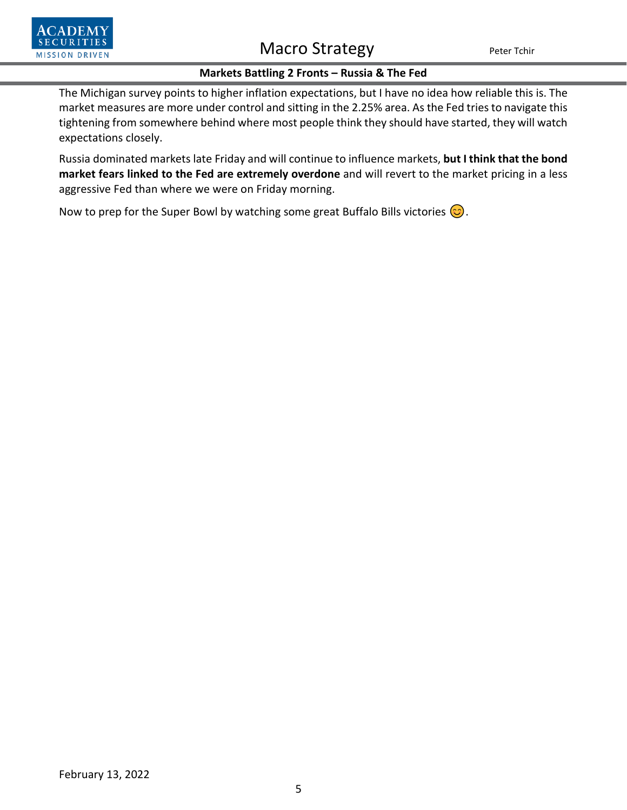

# Macro Strategy Peter Tchir

### **Markets Battling 2 Fronts – Russia & The Fed**

The Michigan survey points to higher inflation expectations, but I have no idea how reliable this is. The market measures are more under control and sitting in the 2.25% area. As the Fed tries to navigate this tightening from somewhere behind where most people think they should have started, they will watch expectations closely.

Russia dominated markets late Friday and will continue to influence markets, **but I think that the bond market fears linked to the Fed are extremely overdone** and will revert to the market pricing in a less aggressive Fed than where we were on Friday morning.

Now to prep for the Super Bowl by watching some great Buffalo Bills victories  $\circled{c}$ .